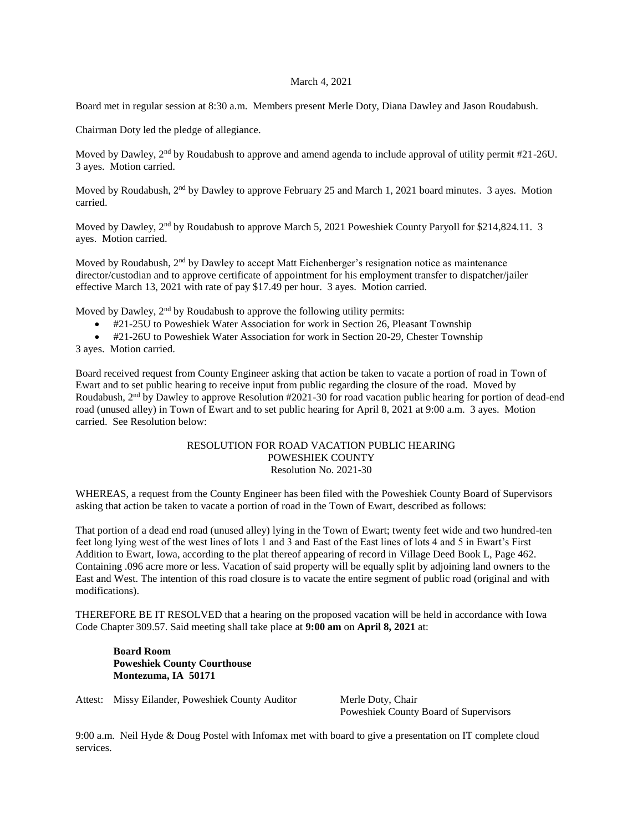## March 4, 2021

Board met in regular session at 8:30 a.m. Members present Merle Doty, Diana Dawley and Jason Roudabush.

Chairman Doty led the pledge of allegiance.

Moved by Dawley, 2<sup>nd</sup> by Roudabush to approve and amend agenda to include approval of utility permit #21-26U. 3 ayes. Motion carried.

Moved by Roudabush, 2nd by Dawley to approve February 25 and March 1, 2021 board minutes. 3 ayes. Motion carried.

Moved by Dawley, 2<sup>nd</sup> by Roudabush to approve March 5, 2021 Poweshiek County Paryoll for \$214,824.11. 3 ayes. Motion carried.

Moved by Roudabush,  $2<sup>nd</sup>$  by Dawley to accept Matt Eichenberger's resignation notice as maintenance director/custodian and to approve certificate of appointment for his employment transfer to dispatcher/jailer effective March 13, 2021 with rate of pay \$17.49 per hour. 3 ayes. Motion carried.

Moved by Dawley, 2<sup>nd</sup> by Roudabush to approve the following utility permits:

- #21-25U to Poweshiek Water Association for work in Section 26, Pleasant Township
- #21-26U to Poweshiek Water Association for work in Section 20-29, Chester Township

3 ayes. Motion carried.

Board received request from County Engineer asking that action be taken to vacate a portion of road in Town of Ewart and to set public hearing to receive input from public regarding the closure of the road. Moved by Roudabush, 2<sup>nd</sup> by Dawley to approve Resolution #2021-30 for road vacation public hearing for portion of dead-end road (unused alley) in Town of Ewart and to set public hearing for April 8, 2021 at 9:00 a.m. 3 ayes. Motion carried. See Resolution below:

## RESOLUTION FOR ROAD VACATION PUBLIC HEARING POWESHIEK COUNTY Resolution No. 2021-30

WHEREAS, a request from the County Engineer has been filed with the Poweshiek County Board of Supervisors asking that action be taken to vacate a portion of road in the Town of Ewart, described as follows:

That portion of a dead end road (unused alley) lying in the Town of Ewart; twenty feet wide and two hundred-ten feet long lying west of the west lines of lots 1 and 3 and East of the East lines of lots 4 and 5 in Ewart's First Addition to Ewart, Iowa, according to the plat thereof appearing of record in Village Deed Book L, Page 462. Containing .096 acre more or less. Vacation of said property will be equally split by adjoining land owners to the East and West. The intention of this road closure is to vacate the entire segment of public road (original and with modifications).

THEREFORE BE IT RESOLVED that a hearing on the proposed vacation will be held in accordance with Iowa Code Chapter 309.57. Said meeting shall take place at **9:00 am** on **April 8, 2021** at:

**Board Room Poweshiek County Courthouse Montezuma, IA 50171**

Attest: Missy Eilander, Poweshiek County Auditor Merle Doty, Chair

Poweshiek County Board of Supervisors

9:00 a.m. Neil Hyde & Doug Postel with Infomax met with board to give a presentation on IT complete cloud services.